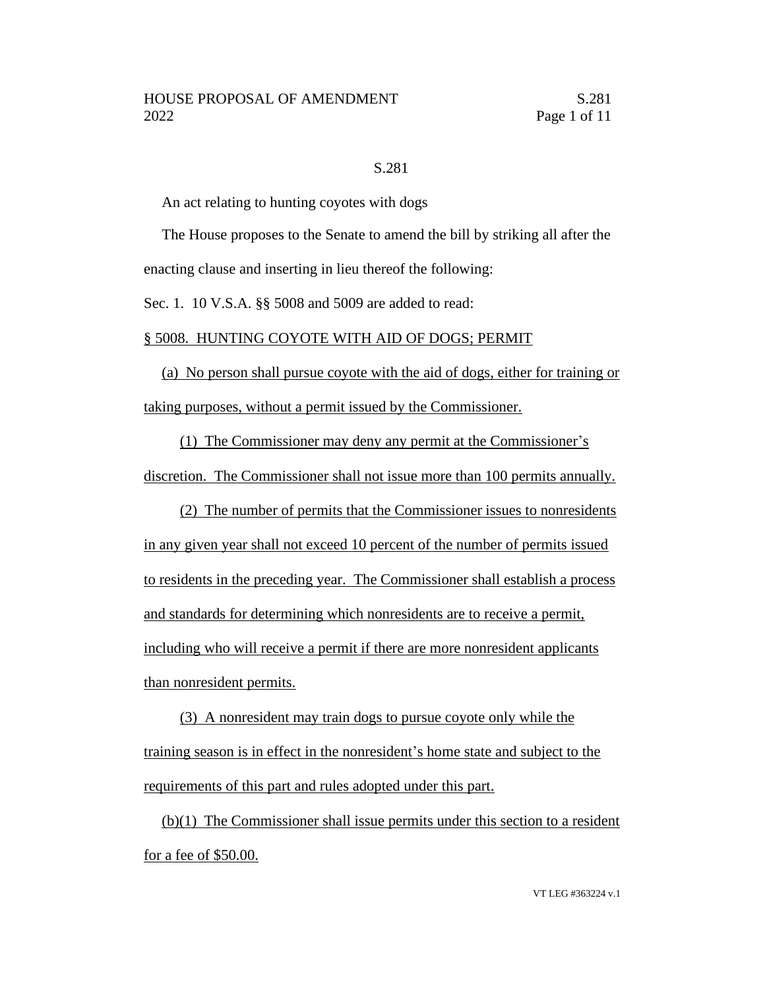#### S.281

An act relating to hunting coyotes with dogs

The House proposes to the Senate to amend the bill by striking all after the enacting clause and inserting in lieu thereof the following:

Sec. 1. 10 V.S.A. §§ 5008 and 5009 are added to read:

#### § 5008. HUNTING COYOTE WITH AID OF DOGS; PERMIT

(a) No person shall pursue coyote with the aid of dogs, either for training or taking purposes, without a permit issued by the Commissioner.

(1) The Commissioner may deny any permit at the Commissioner's discretion. The Commissioner shall not issue more than 100 permits annually.

(2) The number of permits that the Commissioner issues to nonresidents in any given year shall not exceed 10 percent of the number of permits issued to residents in the preceding year. The Commissioner shall establish a process and standards for determining which nonresidents are to receive a permit, including who will receive a permit if there are more nonresident applicants than nonresident permits.

(3) A nonresident may train dogs to pursue coyote only while the training season is in effect in the nonresident's home state and subject to the requirements of this part and rules adopted under this part.

(b)(1) The Commissioner shall issue permits under this section to a resident for a fee of \$50.00.

VT LEG #363224 v.1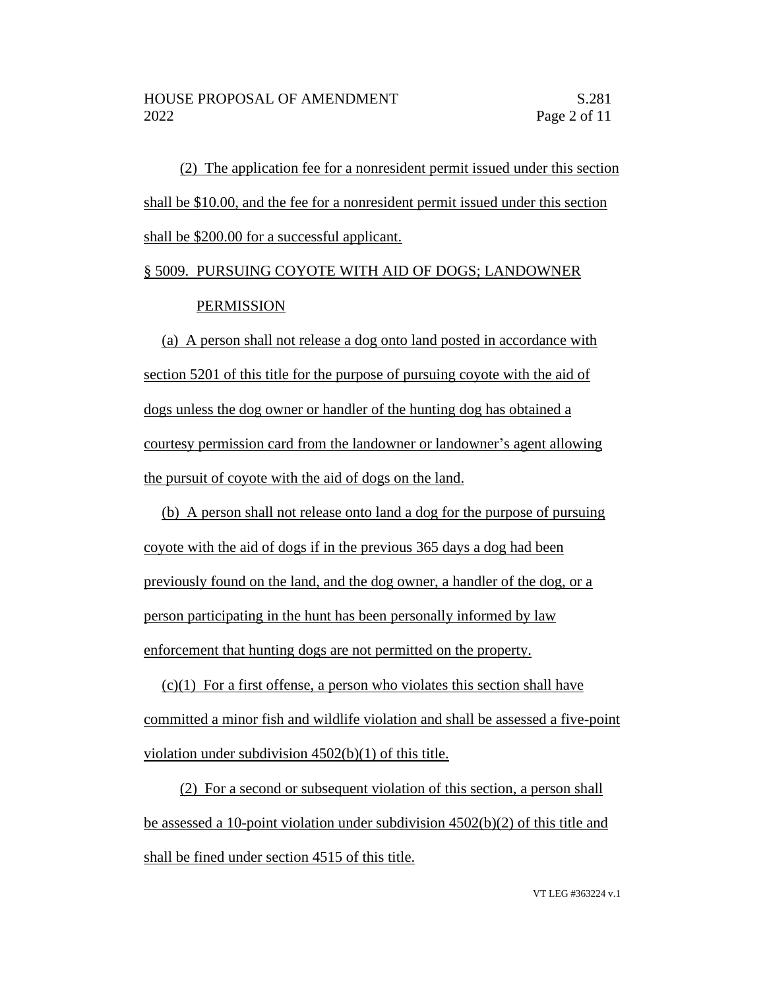(2) The application fee for a nonresident permit issued under this section shall be \$10.00, and the fee for a nonresident permit issued under this section shall be \$200.00 for a successful applicant.

# § 5009. PURSUING COYOTE WITH AID OF DOGS; LANDOWNER **PERMISSION**

(a) A person shall not release a dog onto land posted in accordance with section 5201 of this title for the purpose of pursuing coyote with the aid of dogs unless the dog owner or handler of the hunting dog has obtained a courtesy permission card from the landowner or landowner's agent allowing the pursuit of coyote with the aid of dogs on the land.

(b) A person shall not release onto land a dog for the purpose of pursuing coyote with the aid of dogs if in the previous 365 days a dog had been previously found on the land, and the dog owner, a handler of the dog, or a person participating in the hunt has been personally informed by law enforcement that hunting dogs are not permitted on the property.

 $(c)(1)$  For a first offense, a person who violates this section shall have committed a minor fish and wildlife violation and shall be assessed a five-point violation under subdivision 4502(b)(1) of this title.

(2) For a second or subsequent violation of this section, a person shall be assessed a 10-point violation under subdivision 4502(b)(2) of this title and shall be fined under section 4515 of this title.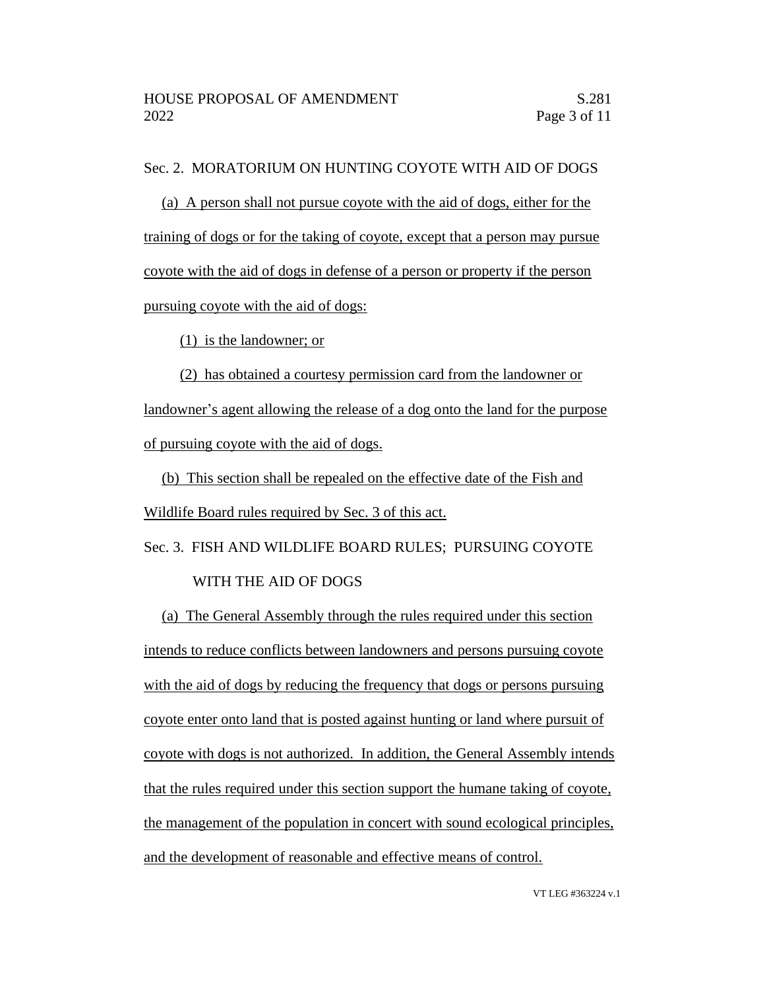### Sec. 2. MORATORIUM ON HUNTING COYOTE WITH AID OF DOGS

(a) A person shall not pursue coyote with the aid of dogs, either for the training of dogs or for the taking of coyote, except that a person may pursue coyote with the aid of dogs in defense of a person or property if the person pursuing coyote with the aid of dogs:

(1) is the landowner; or

(2) has obtained a courtesy permission card from the landowner or landowner's agent allowing the release of a dog onto the land for the purpose of pursuing coyote with the aid of dogs.

(b) This section shall be repealed on the effective date of the Fish and Wildlife Board rules required by Sec. 3 of this act.

Sec. 3. FISH AND WILDLIFE BOARD RULES; PURSUING COYOTE WITH THE AID OF DOGS

(a) The General Assembly through the rules required under this section intends to reduce conflicts between landowners and persons pursuing coyote with the aid of dogs by reducing the frequency that dogs or persons pursuing coyote enter onto land that is posted against hunting or land where pursuit of coyote with dogs is not authorized. In addition, the General Assembly intends that the rules required under this section support the humane taking of coyote, the management of the population in concert with sound ecological principles, and the development of reasonable and effective means of control.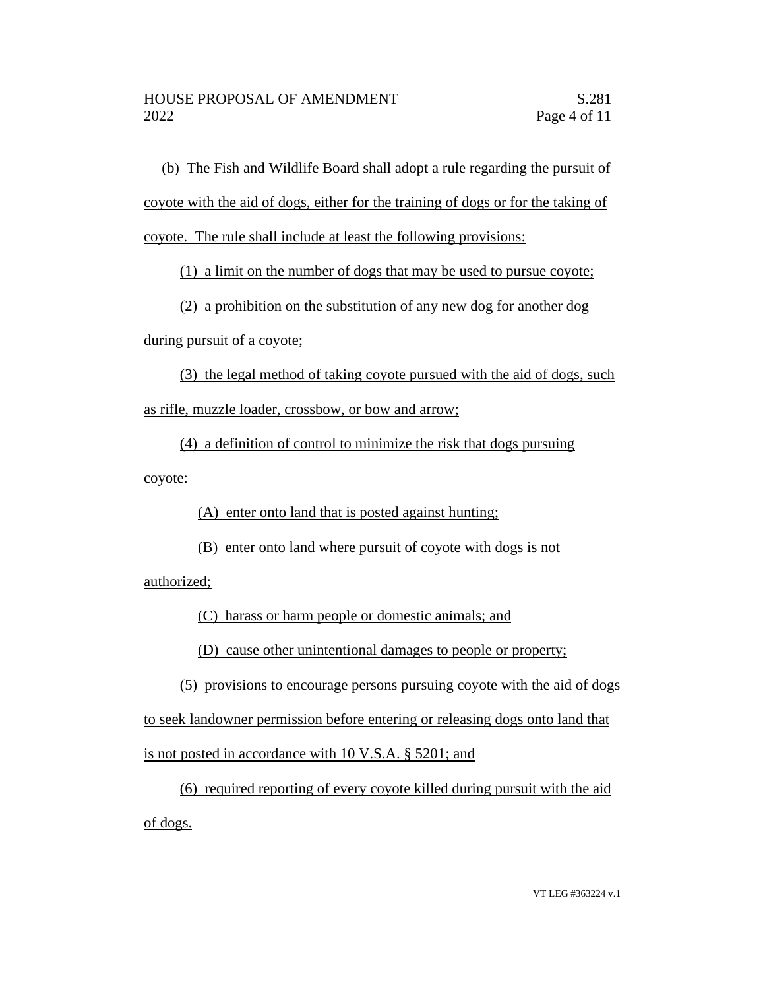(b) The Fish and Wildlife Board shall adopt a rule regarding the pursuit of coyote with the aid of dogs, either for the training of dogs or for the taking of coyote. The rule shall include at least the following provisions:

(1) a limit on the number of dogs that may be used to pursue coyote;

(2) a prohibition on the substitution of any new dog for another dog

during pursuit of a coyote;

(3) the legal method of taking coyote pursued with the aid of dogs, such as rifle, muzzle loader, crossbow, or bow and arrow;

(4) a definition of control to minimize the risk that dogs pursuing coyote:

(A) enter onto land that is posted against hunting;

(B) enter onto land where pursuit of coyote with dogs is not

authorized;

(C) harass or harm people or domestic animals; and

(D) cause other unintentional damages to people or property;

(5) provisions to encourage persons pursuing coyote with the aid of dogs to seek landowner permission before entering or releasing dogs onto land that is not posted in accordance with 10 V.S.A. § 5201; and

(6) required reporting of every coyote killed during pursuit with the aid of dogs.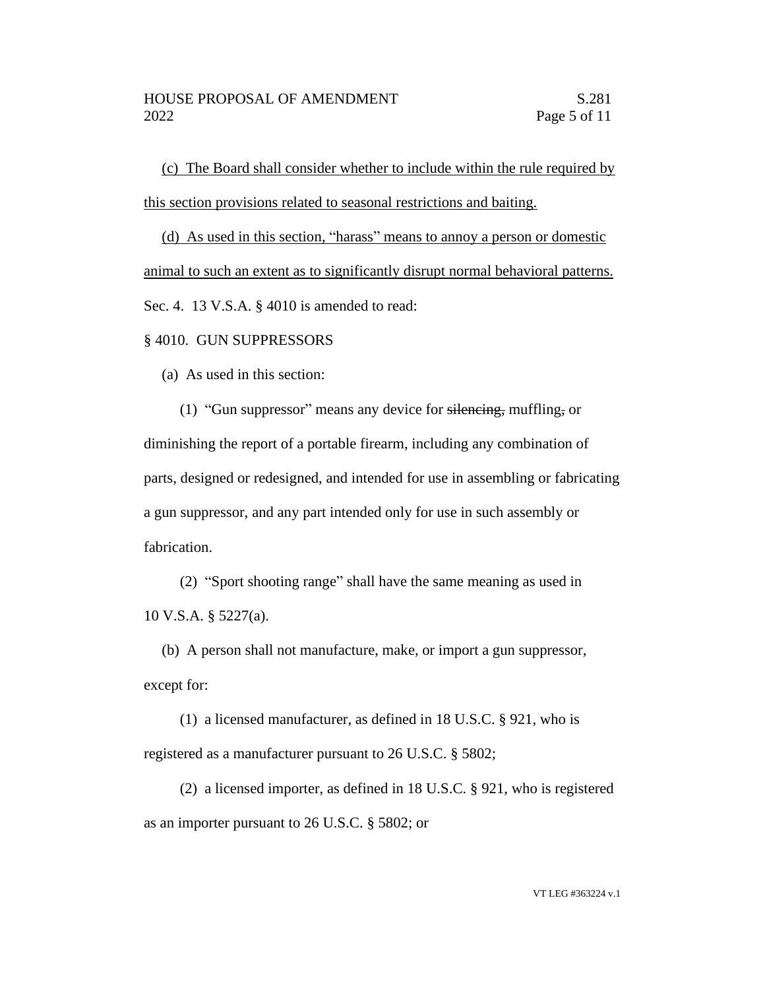(c) The Board shall consider whether to include within the rule required by this section provisions related to seasonal restrictions and baiting.

(d) As used in this section, "harass" means to annoy a person or domestic animal to such an extent as to significantly disrupt normal behavioral patterns. Sec. 4. 13 V.S.A. § 4010 is amended to read:

#### § 4010. GUN SUPPRESSORS

(a) As used in this section:

(1) "Gun suppressor" means any device for silencing, muffling, or diminishing the report of a portable firearm, including any combination of parts, designed or redesigned, and intended for use in assembling or fabricating a gun suppressor, and any part intended only for use in such assembly or fabrication.

(2) "Sport shooting range" shall have the same meaning as used in 10 V.S.A. § 5227(a).

(b) A person shall not manufacture, make, or import a gun suppressor, except for:

(1) a licensed manufacturer, as defined in 18 U.S.C. § 921, who is registered as a manufacturer pursuant to 26 U.S.C. § 5802;

(2) a licensed importer, as defined in 18 U.S.C. § 921, who is registered as an importer pursuant to 26 U.S.C. § 5802; or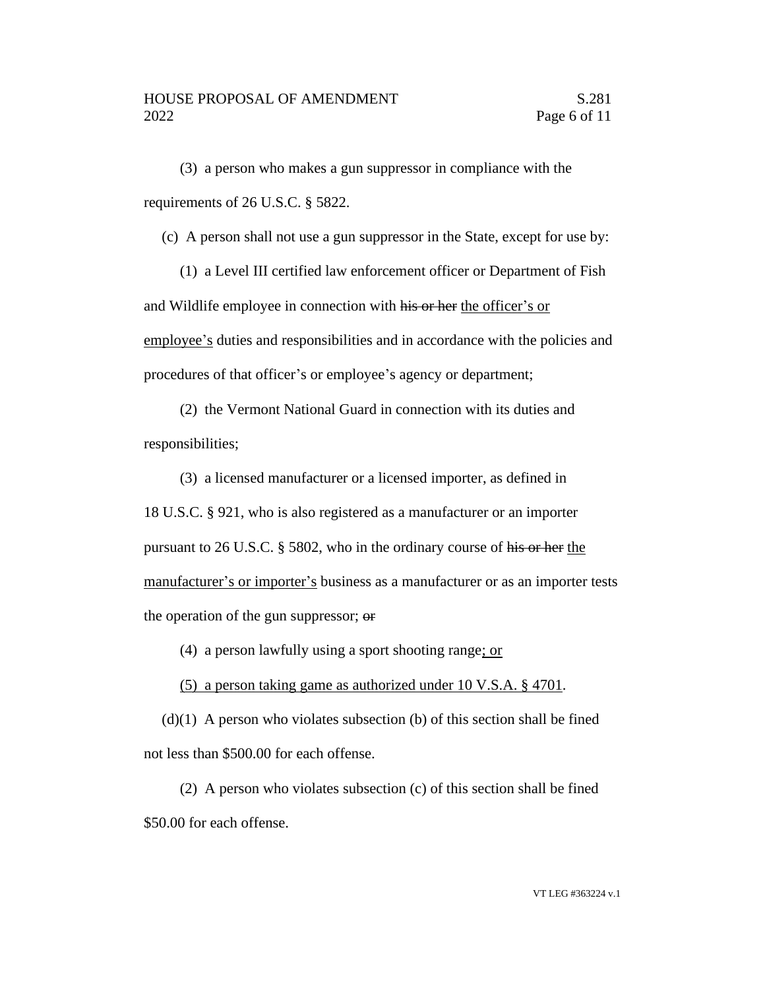(3) a person who makes a gun suppressor in compliance with the requirements of 26 U.S.C. § 5822.

(c) A person shall not use a gun suppressor in the State, except for use by:

(1) a Level III certified law enforcement officer or Department of Fish and Wildlife employee in connection with his or her the officer's or employee's duties and responsibilities and in accordance with the policies and procedures of that officer's or employee's agency or department;

(2) the Vermont National Guard in connection with its duties and responsibilities;

(3) a licensed manufacturer or a licensed importer, as defined in 18 U.S.C. § 921, who is also registered as a manufacturer or an importer pursuant to 26 U.S.C. § 5802, who in the ordinary course of his or her the manufacturer's or importer's business as a manufacturer or as an importer tests the operation of the gun suppressor; or

(4) a person lawfully using a sport shooting range; or

(5) a person taking game as authorized under 10 V.S.A. § 4701.

 $(d)(1)$  A person who violates subsection (b) of this section shall be fined not less than \$500.00 for each offense.

(2) A person who violates subsection (c) of this section shall be fined \$50.00 for each offense.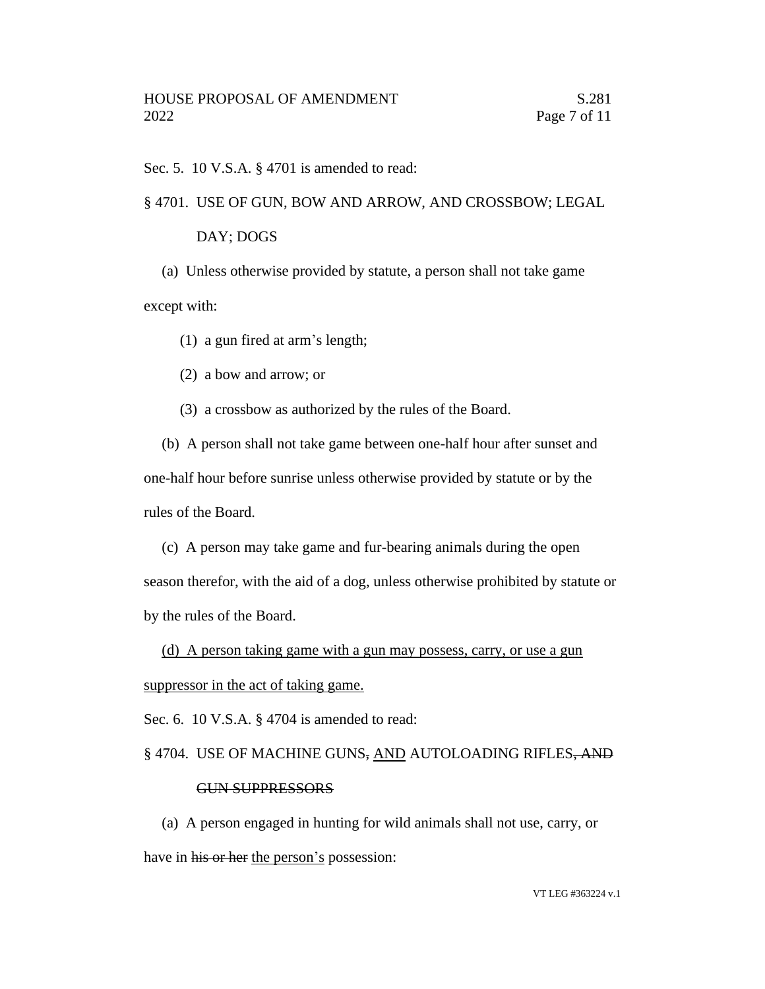Sec. 5. 10 V.S.A. § 4701 is amended to read:

#### § 4701. USE OF GUN, BOW AND ARROW, AND CROSSBOW; LEGAL

#### DAY; DOGS

(a) Unless otherwise provided by statute, a person shall not take game except with:

(1) a gun fired at arm's length;

(2) a bow and arrow; or

(3) a crossbow as authorized by the rules of the Board.

(b) A person shall not take game between one-half hour after sunset and one-half hour before sunrise unless otherwise provided by statute or by the rules of the Board.

(c) A person may take game and fur-bearing animals during the open season therefor, with the aid of a dog, unless otherwise prohibited by statute or by the rules of the Board.

(d) A person taking game with a gun may possess, carry, or use a gun suppressor in the act of taking game.

Sec. 6. 10 V.S.A. § 4704 is amended to read:

#### § 4704. USE OF MACHINE GUNS, AND AUTOLOADING RIFLES, AND

#### GUN SUPPRESSORS

(a) A person engaged in hunting for wild animals shall not use, carry, or have in his or her the person's possession: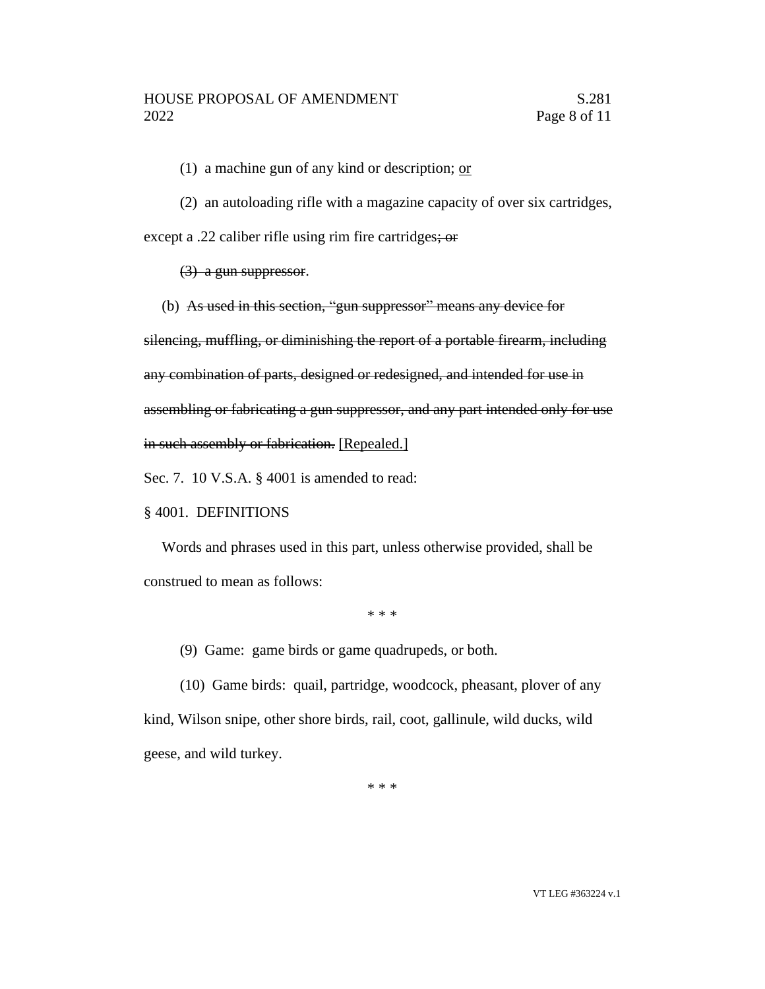(1) a machine gun of any kind or description;  $or$ 

(2) an autoloading rifle with a magazine capacity of over six cartridges,

except a .22 caliber rifle using rim fire cartridges; or

(3) a gun suppressor.

(b) As used in this section, "gun suppressor" means any device for

silencing, muffling, or diminishing the report of a portable firearm, including

any combination of parts, designed or redesigned, and intended for use in

assembling or fabricating a gun suppressor, and any part intended only for use

in such assembly or fabrication. [Repealed.]

Sec. 7. 10 V.S.A. § 4001 is amended to read:

## § 4001. DEFINITIONS

Words and phrases used in this part, unless otherwise provided, shall be construed to mean as follows:

\* \* \*

(9) Game: game birds or game quadrupeds, or both.

(10) Game birds: quail, partridge, woodcock, pheasant, plover of any kind, Wilson snipe, other shore birds, rail, coot, gallinule, wild ducks, wild geese, and wild turkey.

\* \* \*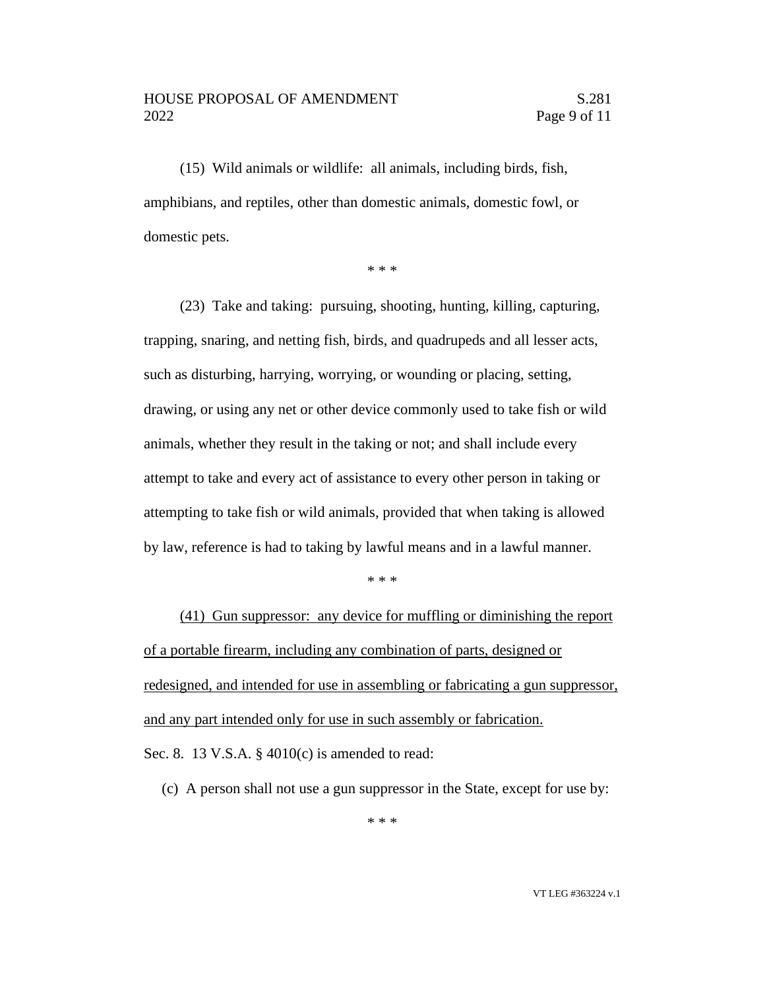#### HOUSE PROPOSAL OF AMENDMENT S.281 2022 Page 9 of 11

(15) Wild animals or wildlife: all animals, including birds, fish, amphibians, and reptiles, other than domestic animals, domestic fowl, or domestic pets.

\* \* \*

(23) Take and taking: pursuing, shooting, hunting, killing, capturing, trapping, snaring, and netting fish, birds, and quadrupeds and all lesser acts, such as disturbing, harrying, worrying, or wounding or placing, setting, drawing, or using any net or other device commonly used to take fish or wild animals, whether they result in the taking or not; and shall include every attempt to take and every act of assistance to every other person in taking or attempting to take fish or wild animals, provided that when taking is allowed by law, reference is had to taking by lawful means and in a lawful manner.

\* \* \*

(41) Gun suppressor: any device for muffling or diminishing the report of a portable firearm, including any combination of parts, designed or redesigned, and intended for use in assembling or fabricating a gun suppressor, and any part intended only for use in such assembly or fabrication.

Sec. 8. 13 V.S.A. § 4010(c) is amended to read:

(c) A person shall not use a gun suppressor in the State, except for use by: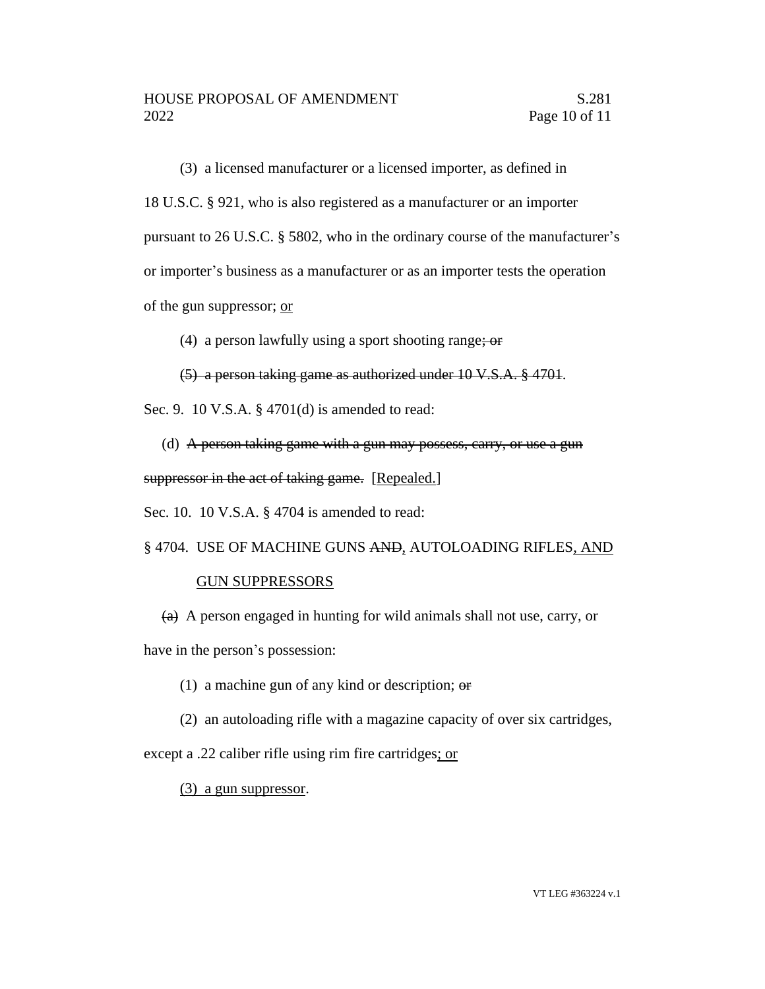(3) a licensed manufacturer or a licensed importer, as defined in 18 U.S.C. § 921, who is also registered as a manufacturer or an importer pursuant to 26 U.S.C. § 5802, who in the ordinary course of the manufacturer's or importer's business as a manufacturer or as an importer tests the operation of the gun suppressor; or

(4) a person lawfully using a sport shooting range;  $\omega$ 

(5) a person taking game as authorized under 10 V.S.A. § 4701.

Sec. 9. 10 V.S.A. § 4701(d) is amended to read:

(d) A person taking game with a gun may possess, carry, or use a gun suppressor in the act of taking game. [Repealed.]

Sec. 10. 10 V.S.A. § 4704 is amended to read:

§ 4704. USE OF MACHINE GUNS AND, AUTOLOADING RIFLES, AND

## GUN SUPPRESSORS

 $(a)$  A person engaged in hunting for wild animals shall not use, carry, or have in the person's possession:

(1) a machine gun of any kind or description;  $\Theta$ 

(2) an autoloading rifle with a magazine capacity of over six cartridges,

except a .22 caliber rifle using rim fire cartridges; or

(3) a gun suppressor.